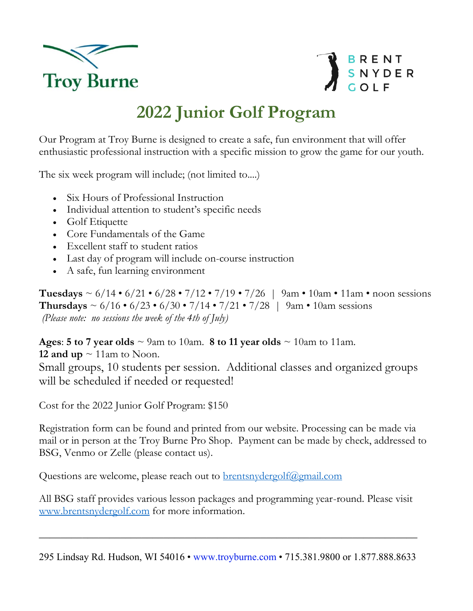



## **2022 Junior Golf Program**

Our Program at Troy Burne is designed to create a safe, fun environment that will offer enthusiastic professional instruction with a specific mission to grow the game for our youth.

The six week program will include; (not limited to....)

- Six Hours of Professional Instruction
- Individual attention to student's specific needs
- Golf Etiquette
- Core Fundamentals of the Game
- Excellent staff to student ratios
- Last day of program will include on-course instruction
- A safe, fun learning environment

**Tuesdays**  $\sim 6/14 \cdot 6/21 \cdot 6/28 \cdot 7/12 \cdot 7/19 \cdot 7/26$  | 9am  $\cdot$  10am  $\cdot$  11am  $\cdot$  noon sessions **Thursdays** ~  $6/16 \cdot 6/23 \cdot 6/30 \cdot 7/14 \cdot 7/21 \cdot 7/28$  | 9am  $\cdot$  10am sessions *(Please note: no sessions the week of the 4th of July)* 

**Ages: 5 to 7 year olds**  $\sim$  9am to 10am. **8 to 11 year olds**  $\sim$  10am to 11am.

**12 and up**  $\sim$  11am to Noon. Small groups, 10 students per session. Additional classes and organized groups will be scheduled if needed or requested!

Cost for the 2022 Junior Golf Program: \$150

Registration form can be found and printed from our website. Processing can be made via mail or in person at the Troy Burne Pro Shop. Payment can be made by check, addressed to BSG, Venmo or Zelle (please contact us).

Questions are welcome, please reach out to **[brentsnydergolf@gmail.com](mailto:brentsnydergolf@gmail.com)** 

All BSG staff provides various lesson packages and programming year-round. Please visit [www.brentsnydergolf.com](http://www.brentsnydergolf.com/) for more information.

295 Lindsay Rd. Hudson, WI 54016 • www.troyburne.com • 715.381.9800 or 1.877.888.8633

\_\_\_\_\_\_\_\_\_\_\_\_\_\_\_\_\_\_\_\_\_\_\_\_\_\_\_\_\_\_\_\_\_\_\_\_\_\_\_\_\_\_\_\_\_\_\_\_\_\_\_\_\_\_\_\_\_\_\_\_\_\_\_\_\_\_\_\_\_\_